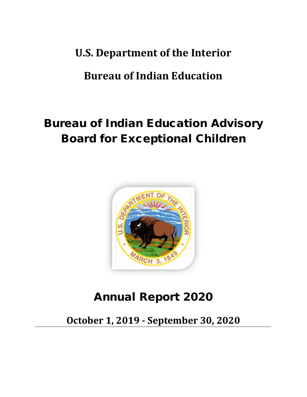## **U.S. Department of the Interior**

## **Bureau of Indian Education**

# Bureau of Indian Education Advisory Board for Exceptional Children



## Annual Report 2020

**October 1, 2019 - September 30, 2020**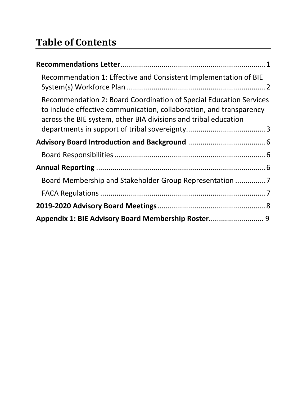# **Table of Contents**

| Recommendation 1: Effective and Consistent Implementation of BIE                                                                                                                                             |  |
|--------------------------------------------------------------------------------------------------------------------------------------------------------------------------------------------------------------|--|
| Recommendation 2: Board Coordination of Special Education Services<br>to include effective communication, collaboration, and transparency<br>across the BIE system, other BIA divisions and tribal education |  |
|                                                                                                                                                                                                              |  |
|                                                                                                                                                                                                              |  |
|                                                                                                                                                                                                              |  |
| Board Membership and Stakeholder Group Representation                                                                                                                                                        |  |
|                                                                                                                                                                                                              |  |
|                                                                                                                                                                                                              |  |
| Appendix 1: BIE Advisory Board Membership Roster 9                                                                                                                                                           |  |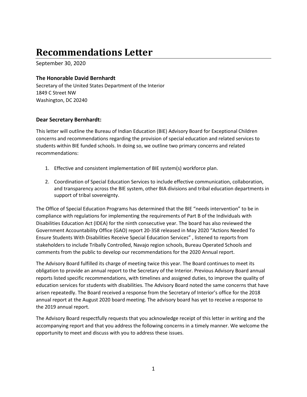## **Recommendations Letter**

September 30, 2020

#### **The Honorable David Bernhardt**

Secretary of the United States Department of the Interior 1849 C Street NW Washington, DC 20240

#### **Dear Secretary Bernhardt:**

This letter will outline the Bureau of Indian Education (BIE) Advisory Board for Exceptional Children concerns and recommendations regarding the provision of special education and related services to students within BIE funded schools. In doing so, we outline two primary concerns and related recommendations:

- 1. Effective and consistent implementation of BIE system(s) workforce plan.
- 2. Coordination of Special Education Services to include effective communication, collaboration, and transparency across the BIE system, other BIA divisions and tribal education departments in support of tribal sovereignty.

The Office of Special Education Programs has determined that the BIE "needs intervention" to be in compliance with regulations for implementing the requirements of Part B of the Individuals with Disabilities Education Act (IDEA) for the ninth consecutive year. The board has also reviewed the Government Accountability Office (GAO) report 20-358 released in May 2020 "Actions Needed To Ensure Students With Disabilities Receive Special Education Services" , listened to reports from stakeholders to include Tribally Controlled, Navajo region schools, Bureau Operated Schools and comments from the public to develop our recommendations for the 2020 Annual report.

The Advisory Board fulfilled its charge of meeting twice this year. The Board continues to meet its obligation to provide an annual report to the Secretary of the Interior. Previous Advisory Board annual reports listed specific recommendations, with timelines and assigned duties, to improve the quality of education services for students with disabilities. The Advisory Board noted the same concerns that have arisen repeatedly. The Board received a response from the Secretary of Interior's office for the 2018 annual report at the August 2020 board meeting. The advisory board has yet to receive a response to the 2019 annual report.

The Advisory Board respectfully requests that you acknowledge receipt of this letter in writing and the accompanying report and that you address the following concerns in a timely manner. We welcome the opportunity to meet and discuss with you to address these issues.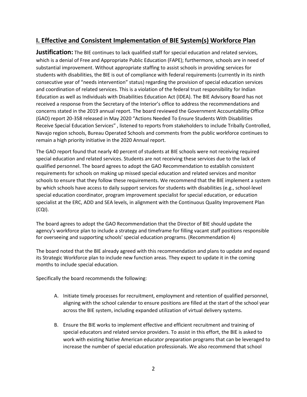#### **I. Effective and Consistent Implementation of BIE System(s) Workforce Plan**

**Justification:** The BIE continues to lack qualified staff for special education and related services, which is a denial of Free and Appropriate Public Education (FAPE); furthermore, schools are in need of substantial improvement. Without appropriate staffing to assist schools in providing services for students with disabilities, the BIE is out of compliance with federal requirements (currently in its ninth consecutive year of "needs intervention" status) regarding the provision of special education services and coordination of related services. This is a violation of the federal trust responsibility for Indian Education as well as Individuals with Disabilities Education Act (IDEA). The BIE Advisory Board has not received a response from the Secretary of the Interior's office to address the recommendations and concerns stated in the 2019 annual report. The board reviewed the Government Accountability Office (GAO) report 20-358 released in May 2020 "Actions Needed To Ensure Students With Disabilities Receive Special Education Services" , listened to reports from stakeholders to include Tribally Controlled, Navajo region schools, Bureau Operated Schools and comments from the public workforce continues to remain a high priority initiative in the 2020 Annual report.

The GAO report found that nearly 40 percent of students at BIE schools were not receiving required special education and related services. Students are not receiving these services due to the lack of qualified personnel. The board agrees to adopt the GAO Recommendation to establish consistent requirements for schools on making up missed special education and related services and monitor schools to ensure that they follow these requirements. We recommend that the BIE implement a system by which schools have access to daily support services for students with disabilities (e.g., school-level special education coordinator, program improvement specialist for special education, or education specialist at the ERC, ADD and SEA levels, in alignment with the Continuous Quality Improvement Plan (CQI).

The board agrees to adopt the GAO Recommendation that the Director of BIE should update the agency's workforce plan to include a strategy and timeframe for filling vacant staff positions responsible for overseeing and supporting schools' special education programs. (Recommendation 4)

The board noted that the BIE already agreed with this recommendation and plans to update and expand its Strategic Workforce plan to include new function areas. They expect to update it in the coming months to include special education.

Specifically the board recommends the following:

- A. Initiate timely processes for recruitment, employment and retention of qualified personnel, aligning with the school calendar to ensure positions are filled at the start of the school year across the BIE system, including expanded utilization of virtual delivery systems.
- B. Ensure the BIE works to implement effective and efficient recruitment and training of special educators and related service providers. To assist in this effort, the BIE is asked to work with existing Native American educator preparation programs that can be leveraged to increase the number of special education professionals. We also recommend that school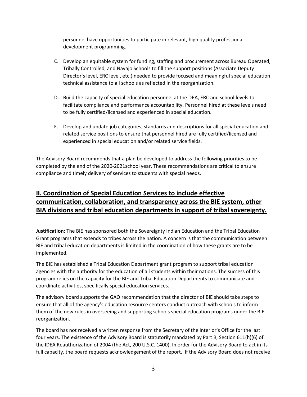personnel have opportunities to participate in relevant, high quality professional development programming.

- C. Develop an equitable system for funding, staffing and procurement across Bureau Operated, Tribally Controlled, and Navajo Schools to fill the support positions (Associate Deputy Director's level, ERC level, etc.) needed to provide focused and meaningful special education technical assistance to all schools as reflected in the reorganization.
- D. Build the capacity of special education personnel at the DPA, ERC and school levels to facilitate compliance and performance accountability. Personnel hired at these levels need to be fully certified/licensed and experienced in special education.
- E. Develop and update job categories, standards and descriptions for all special education and related service positions to ensure that personnel hired are fully certified/licensed and experienced in special education and/or related service fields.

The Advisory Board recommends that a plan be developed to address the following priorities to be completed by the end of the 2020-2021school year. These recommendations are critical to ensure compliance and timely delivery of services to students with special needs.

#### **II. Coordination of Special Education Services to include effective communication, collaboration, and transparency across the BIE system, other BIA divisions and tribal education departments in support of tribal sovereignty.**

**Justification:** The BIE has sponsored both the Sovereignty Indian Education and the Tribal Education Grant programs that extends to tribes across the nation. A concern is that the communication between BIE and tribal education departments is limited in the coordination of how these grants are to be implemented.

The BIE has established a Tribal Education Department grant program to support tribal education agencies with the authority for the education of all students within their nations. The success of this program relies on the capacity for the BIE and Tribal Education Departments to communicate and coordinate activities, specifically special education services.

The advisory board supports the GAO recommendation that the director of BIE should take steps to ensure that all of the agency's education resource centers conduct outreach with schools to inform them of the new rules in overseeing and supporting schools special education programs under the BIE reorganization.

The board has not received a written response from the Secretary of the Interior's Office for the last four years. The existence of the Advisory Board is statutorily mandated by Part B, Section 611(h)(6) of the IDEA Reauthorization of 2004 (the Act, 200 U.S.C. 1400). In order for the Advisory Board to act in its full capacity, the board requests acknowledgement of the report. If the Advisory Board does not receive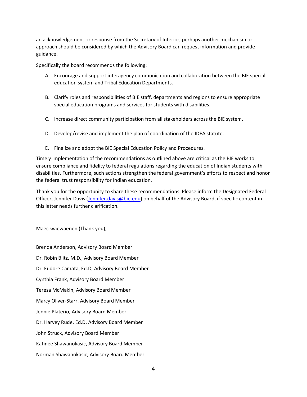an acknowledgement or response from the Secretary of Interior, perhaps another mechanism or approach should be considered by which the Advisory Board can request information and provide guidance.

Specifically the board recommends the following:

- A. Encourage and support interagency communication and collaboration between the BIE special education system and Tribal Education Departments.
- B. Clarify roles and responsibilities of BIE staff, departments and regions to ensure appropriate special education programs and services for students with disabilities.
- C. Increase direct community participation from all stakeholders across the BIE system.
- D. Develop/revise and implement the plan of coordination of the IDEA statute.
- E. Finalize and adopt the BIE Special Education Policy and Procedures.

Timely implementation of the recommendations as outlined above are critical as the BIE works to ensure compliance and fidelity to federal regulations regarding the education of Indian students with disabilities. Furthermore, such actions strengthen the federal government's efforts to respect and honor the federal trust responsibility for Indian education.

Thank you for the opportunity to share these recommendations. Please inform the Designated Federal Officer, Jennifer Davis [\(Jennifer.davis@bie.edu\)](mailto:Jennifer.davis@bie.edu) on behalf of the Advisory Board, if specific content in this letter needs further clarification.

Maec-waewaenen (Thank you),

Brenda Anderson, Advisory Board Member Dr. Robin Blitz, M.D., Advisory Board Member Dr. Eudore Camata, Ed.D, Advisory Board Member Cynthia Frank, Advisory Board Member Teresa McMakin, Advisory Board Member Marcy Oliver-Starr, Advisory Board Member Jennie Platerio, Advisory Board Member Dr. Harvey Rude, Ed.D, Advisory Board Member John Struck, Advisory Board Member Katinee Shawanokasic, Advisory Board Member Norman Shawanokasic, Advisory Board Member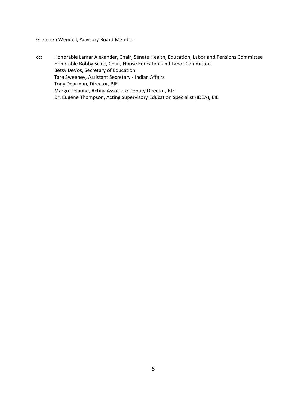Gretchen Wendell, Advisory Board Member

**cc:** Honorable Lamar Alexander, Chair, Senate Health, Education, Labor and Pensions Committee Honorable Bobby Scott, Chair, House Education and Labor Committee Betsy DeVos, Secretary of Education Tara Sweeney, Assistant Secretary - Indian Affairs Tony Dearman, Director, BIE Margo Delaune, Acting Associate Deputy Director, BIE Dr. Eugene Thompson, Acting Supervisory Education Specialist (IDEA), BIE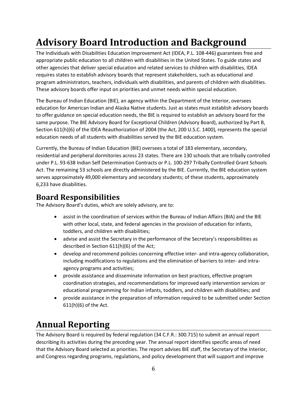# **Advisory Board Introduction and Background**

The Individuals with Disabilities Education Improvement Act (IDEA, P.L. 108-446) guarantees free and appropriate public education to all children with disabilities in the United States. To guide states and other agencies that deliver special education and related services to children with disabilities, IDEA requires states to establish advisory boards that represent stakeholders, such as educational and program administrators, teachers, individuals with disabilities, and parents of children with disabilities. These advisory boards offer input on priorities and unmet needs within special education.

The Bureau of Indian Education (BIE), an agency within the Department of the Interior, oversees education for American Indian and Alaska Native students. Just as states must establish advisory boards to offer guidance on special education needs, the BIE is required to establish an advisory board for the same purpose. The BIE Advisory Board for Exceptional Children (Advisory Board), authorized by Part B, Section 611(h)(6) of the IDEA Reauthorization of 2004 (the Act, 200 U.S.C. 1400), represents the special education needs of all students with disabilities served by the BIE education system.

Currently, the Bureau of Indian Education (BIE) oversees a total of 183 elementary, secondary, residential and peripheral dormitories across 23 states. There are 130 schools that are tribally controlled under P.L. 93-638 Indian Self Determination Contracts or P.L. 100-297 Tribally Controlled Grant Schools Act. The remaining 53 schools are directly administered by the BIE. Currently, the BIE education system serves approximately 49,000 elementary and secondary students; of these students, approximately 6,233 have disabilities.

### **Board Responsibilities**

The Advisory Board's duties, which are solely advisory, are to:

- assist in the coordination of services within the Bureau of Indian Affairs (BIA) and the BIE with other local, state, and federal agencies in the provision of education for infants, toddlers, and children with disabilities;
- advise and assist the Secretary in the performance of the Secretary's responsibilities as described in Section 611(h)(6) of the Act;
- develop and recommend policies concerning effective inter- and intra-agency collaboration, including modifications to regulations and the elimination of barriers to inter- and intraagency programs and activities;
- provide assistance and disseminate information on best practices, effective program coordination strategies, and recommendations for improved early intervention services or educational programming for Indian infants, toddlers, and children with disabilities; and
- provide assistance in the preparation of information required to be submitted under Section 611(h)(6) of the Act.

### **Annual Reporting**

The Advisory Board is required by federal regulation (34 C.F.R.: 300.715) to submit an annual report describing its activities during the preceding year. The annual report identifies specific areas of need that the Advisory Board selected as priorities. The report advises BIE staff, the Secretary of the Interior, and Congress regarding programs, regulations, and policy development that will support and improve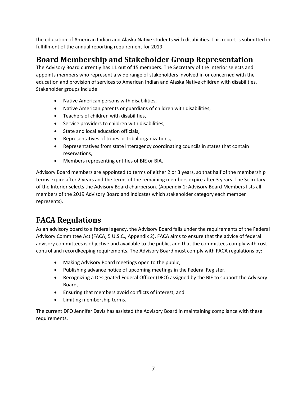the education of American Indian and Alaska Native students with disabilities. This report is submitted in fulfillment of the annual reporting requirement for 2019.

### **Board Membership and Stakeholder Group Representation**

The Advisory Board currently has 11 out of 15 members. The Secretary of the Interior selects and appoints members who represent a wide range of stakeholders involved in or concerned with the education and provision of services to American Indian and Alaska Native children with disabilities. Stakeholder groups include:

- Native American persons with disabilities,
- Native American parents or guardians of children with disabilities,
- Teachers of children with disabilities,
- Service providers to children with disabilities,
- State and local education officials,
- Representatives of tribes or tribal organizations,
- Representatives from state interagency coordinating councils in states that contain reservations,
- Members representing entities of BIE or BIA.

Advisory Board members are appointed to terms of either 2 or 3 years, so that half of the membership terms expire after 2 years and the terms of the remaining members expire after 3 years. The Secretary of the Interior selects the Advisory Board chairperson. (Appendix 1: Advisory Board Members lists all members of the 2019 Advisory Board and indicates which stakeholder category each member represents).

### **FACA Regulations**

As an advisory board to a federal agency, the Advisory Board falls under the requirements of the Federal Advisory Committee Act (FACA; 5 U.S.C., Appendix 2). FACA aims to ensure that the advice of federal advisory committees is objective and available to the public, and that the committees comply with cost control and recordkeeping requirements. The Advisory Board must comply with FACA regulations by:

- Making Advisory Board meetings open to the public,
- Publishing advance notice of upcoming meetings in the Federal Register,
- Recognizing a Designated Federal Officer (DFO) assigned by the BIE to support the Advisory Board,
- Ensuring that members avoid conflicts of interest, and
- Limiting membership terms.

The current DFO Jennifer Davis has assisted the Advisory Board in maintaining compliance with these requirements.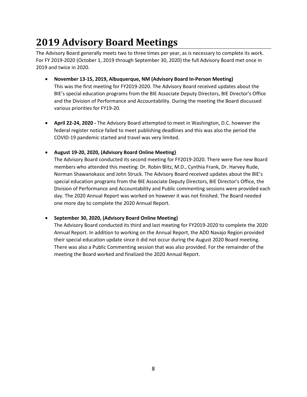## **2019 Advisory Board Meetings**

The Advisory Board generally meets two to three times per year, as is necessary to complete its work. For FY 2019-2020 (October 1, 2019 through September 30, 2020) the full Advisory Board met once in 2019 and twice in 2020.

- **November 13-15, 2019, Albuquerque, NM (Advisory Board In-Person Meeting)** This was the first meeting for FY2019-2020. The Advisory Board received updates about the BIE's special education programs from the BIE Associate Deputy Directors, BIE Director's Office and the Division of Performance and Accountability. During the meeting the Board discussed various priorities for FY19-20.
- **April 22-24, 2020** The Advisory Board attempted to meet in Washington, D.C. however the federal register notice failed to meet publishing deadlines and this was also the period the COVID-19 pandemic started and travel was very limited.
- **August 19-20, 2020, (Advisory Board Online Meeting)**

The Advisory Board conducted its second meeting for FY2019-2020. There were five new Board members who attended this meeting: Dr. Robin Blitz, M.D., Cynthia Frank, Dr. Harvey Rude, Norman Shawanokasic and John Struck. The Advisory Board received updates about the BIE's special education programs from the BIE Associate Deputy Directors, BIE Director's Office, the Division of Performance and Accountability and Public commenting sessions were provided each day. The 2020 Annual Report was worked on however it was not finished. The Board needed one more day to complete the 2020 Annual Report.

#### • **September 30, 2020, (Advisory Board Online Meeting)**

The Advisory Board conducted its third and last meeting for FY2019-2020 to complete the 2020 Annual Report. In addition to working on the Annual Report, the ADD Navajo Region provided their special education update since it did not occur during the August 2020 Board meeting. There was also a Public Commenting session that was also provided. For the remainder of the meeting the Board worked and finalized the 2020 Annual Report.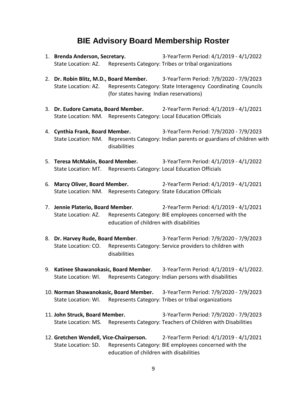### **BIE Advisory Board Membership Roster**

- 1. **Brenda Anderson, Secretary.** 3-YearTerm Period: 4/1/2019 4/1/2022 State Location: AZ. Represents Category: Tribes or tribal organizations
- 2. **Dr. Robin Blitz, M.D., Board Member.** 3-YearTerm Period: 7/9/2020 7/9/2023 State Location: AZ. Represents Category: State Interagency Coordinating Councils (for states having Indian reservations)
- 3. **Dr. Eudore Camata, Board Member.** 2-YearTerm Period: 4/1/2019 4/1/2021 State Location: NM. Represents Category: Local Education Officials
- 4. **Cynthia Frank, Board Member.** 3-YearTerm Period: 7/9/2020 7/9/2023 State Location: NM. Represents Category: Indian parents or guardians of children with disabilities
- 5. **Teresa McMakin, Board Member.** 3-YearTerm Period: 4/1/2019 4/1/2022 State Location: MT. Represents Category: Local Education Officials
- 6. **Marcy Oliver, Board Member.** 2-YearTerm Period: 4/1/2019 4/1/2021 State Location: NM. Represents Category: State Education Officials
- 7. **Jennie Platerio, Board Member**. 2-YearTerm Period: 4/1/2019 4/1/2021 State Location: AZ. Represents Category: BIE employees concerned with the education of children with disabilities
- 8. **Dr. Harvey Rude, Board Member**. 3-YearTerm Period: 7/9/2020 7/9/2023 State Location: CO. Represents Category: Service providers to children with disabilities
- 9. **Katinee Shawanokasic, Board Member**. 3-YearTerm Period: 4/1/2019 4/1/2022. State Location: WI. Represents Category: Indian persons with disabilities
- 10. **Norman Shawanokasic, Board Member.** 3-YearTerm Period: 7/9/2020 7/9/2023 State Location: WI. Represents Category: Tribes or tribal organizations
- 11. **John Struck, Board Member.** 3-YearTerm Period: 7/9/2020 7/9/2023 State Location: MS. Represents Category: Teachers of Children with Disabilities
- 12. **Gretchen Wendell, Vice-Chairperson.** 2-YearTerm Period: 4/1/2019 4/1/2021 State Location: SD. Represents Category: BIE employees concerned with the education of children with disabilities